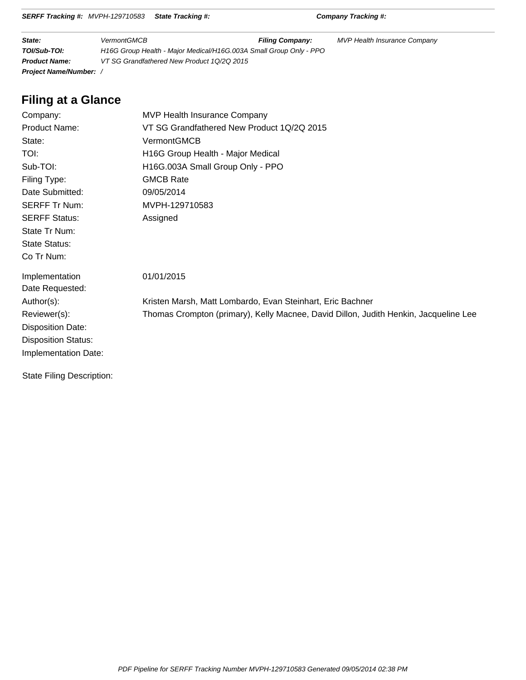|  | SERFF Tracking #: MVPH-129710583 State Tracking #: |  |
|--|----------------------------------------------------|--|
|--|----------------------------------------------------|--|

**SERFF Tracking #:** Company Tracking #:

| State:                        | <b>VermontGMCB</b>                                                 | <b>Filing Company:</b> | <b>MVP Health Insurance Company</b> |  |
|-------------------------------|--------------------------------------------------------------------|------------------------|-------------------------------------|--|
| TOI/Sub-TOI:                  | H16G Group Health - Major Medical/H16G.003A Small Group Only - PPO |                        |                                     |  |
| <b>Product Name:</b>          | VT SG Grandfathered New Product 10/20 2015                         |                        |                                     |  |
| <b>Project Name/Number:</b> / |                                                                    |                        |                                     |  |

# **Filing at a Glance**

| Company:                   | MVP Health Insurance Company                                                         |
|----------------------------|--------------------------------------------------------------------------------------|
| Product Name:              | VT SG Grandfathered New Product 1Q/2Q 2015                                           |
| State:                     | VermontGMCB                                                                          |
| <b>TOI:</b>                | H16G Group Health - Major Medical                                                    |
| Sub-TOI:                   | H16G.003A Small Group Only - PPO                                                     |
| Filing Type:               | <b>GMCB Rate</b>                                                                     |
| Date Submitted:            | 09/05/2014                                                                           |
| <b>SERFF Tr Num:</b>       | MVPH-129710583                                                                       |
| <b>SERFF Status:</b>       | Assigned                                                                             |
| State Tr Num:              |                                                                                      |
| <b>State Status:</b>       |                                                                                      |
| Co Tr Num:                 |                                                                                      |
| Implementation             | 01/01/2015                                                                           |
| Date Requested:            |                                                                                      |
| Author(s):                 | Kristen Marsh, Matt Lombardo, Evan Steinhart, Eric Bachner                           |
| Reviewer(s):               | Thomas Crompton (primary), Kelly Macnee, David Dillon, Judith Henkin, Jacqueline Lee |
| <b>Disposition Date:</b>   |                                                                                      |
| <b>Disposition Status:</b> |                                                                                      |
| Implementation Date:       |                                                                                      |
| State Filing Description:  |                                                                                      |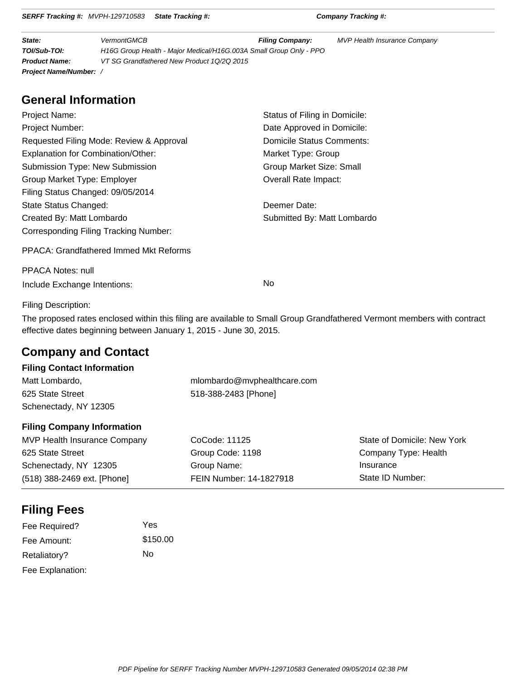| State:                        | <b>VermontGMCB</b>                                                 | <b>Filing Company:</b> | <b>MVP Health Insurance Company</b> |
|-------------------------------|--------------------------------------------------------------------|------------------------|-------------------------------------|
| TOI/Sub-TOI:                  | H16G Group Health - Major Medical/H16G.003A Small Group Only - PPO |                        |                                     |
| <b>Product Name:</b>          | VT SG Grandfathered New Product 1Q/2Q 2015                         |                        |                                     |
| <b>Project Name/Number:</b> / |                                                                    |                        |                                     |

**SERFF Tracking #:** MVPH-129710583 **State Tracking #: Company Tracking #:**

# **General Information**

| Project Name:                                 | Status of Filing in Domicile: |
|-----------------------------------------------|-------------------------------|
| <b>Project Number:</b>                        | Date Approved in Domicile:    |
| Requested Filing Mode: Review & Approval      | Domicile Status Comments:     |
| Explanation for Combination/Other:            | Market Type: Group            |
| Submission Type: New Submission               | Group Market Size: Small      |
| Group Market Type: Employer                   | Overall Rate Impact:          |
| Filing Status Changed: 09/05/2014             |                               |
| State Status Changed:                         | Deemer Date:                  |
| Created By: Matt Lombardo                     | Submitted By: Matt Lombardo   |
| Corresponding Filing Tracking Number:         |                               |
| <b>PPACA: Grandfathered Immed Mkt Reforms</b> |                               |
| PPACA Notes: null                             |                               |

Include Exchange Intentions: No

### Filing Description:

The proposed rates enclosed within this filing are available to Small Group Grandfathered Vermont members with contract effective dates beginning between January 1, 2015 - June 30, 2015.

# **Company and Contact**

## **Filing Contact Information**

| Matt Lombardo,        | mlombardo@mvphealthcare.com |
|-----------------------|-----------------------------|
| 625 State Street      | 518-388-2483 [Phone]        |
| Schenectady, NY 12305 |                             |

### **Filing Company Information**

| MVP Health Insurance Company | CoCode: 11125           | State of Domicile: New York |
|------------------------------|-------------------------|-----------------------------|
| 625 State Street             | Group Code: 1198        | Company Type: Health        |
| Schenectady, NY 12305        | Group Name:             | Insurance                   |
| (518) 388-2469 ext. [Phone]  | FEIN Number: 14-1827918 | State ID Number:            |

# **Filing Fees**

| Fee Required?    | Yes      |
|------------------|----------|
| Fee Amount:      | \$150.00 |
| Retaliatory?     | N٥       |
| Fee Explanation: |          |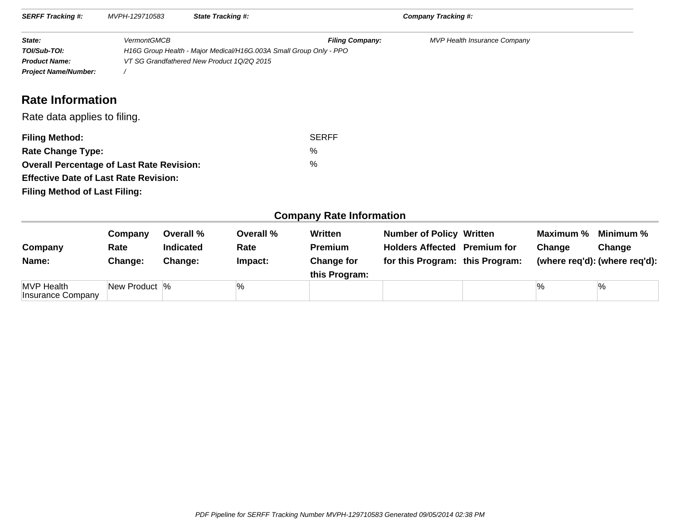| <b>SERFF Tracking #:</b>                         | MVPH-129710583     | <b>State Tracking #:</b>                                           |                                 | Company Tracking #:                 |  |
|--------------------------------------------------|--------------------|--------------------------------------------------------------------|---------------------------------|-------------------------------------|--|
| State:                                           | <b>VermontGMCB</b> |                                                                    | <b>Filing Company:</b>          | <b>MVP Health Insurance Company</b> |  |
| TOI/Sub-TOI:                                     |                    | H16G Group Health - Major Medical/H16G.003A Small Group Only - PPO |                                 |                                     |  |
| <b>Product Name:</b>                             |                    | VT SG Grandfathered New Product 1Q/2Q 2015                         |                                 |                                     |  |
| <b>Project Name/Number:</b>                      |                    |                                                                    |                                 |                                     |  |
| <b>Rate Information</b>                          |                    |                                                                    |                                 |                                     |  |
| Rate data applies to filing.                     |                    |                                                                    |                                 |                                     |  |
| <b>Filing Method:</b>                            |                    |                                                                    | <b>SERFF</b>                    |                                     |  |
| <b>Rate Change Type:</b>                         |                    |                                                                    | %                               |                                     |  |
| <b>Overall Percentage of Last Rate Revision:</b> |                    |                                                                    | %                               |                                     |  |
| <b>Effective Date of Last Rate Revision:</b>     |                    |                                                                    |                                 |                                     |  |
| <b>Filing Method of Last Filing:</b>             |                    |                                                                    |                                 |                                     |  |
|                                                  |                    |                                                                    | <b>Company Rate Information</b> |                                     |  |

| Company<br>Name:                       | Company<br>Rate<br>Change: | Overall %<br><b>Indicated</b><br>Change: | Overall %<br>Rate<br>Impact: | Written<br><b>Premium</b><br><b>Change for</b><br>this Program: | <b>Number of Policy Written</b><br><b>Holders Affected Premium for</b><br>for this Program: this Program: | Maximum %<br>Change | Minimum %<br>Change<br>(where reg'd): (where reg'd): |
|----------------------------------------|----------------------------|------------------------------------------|------------------------------|-----------------------------------------------------------------|-----------------------------------------------------------------------------------------------------------|---------------------|------------------------------------------------------|
| <b>MVP Health</b><br>Insurance Company | New Product  %             |                                          | ℅                            |                                                                 |                                                                                                           | $\%$                | $\%$                                                 |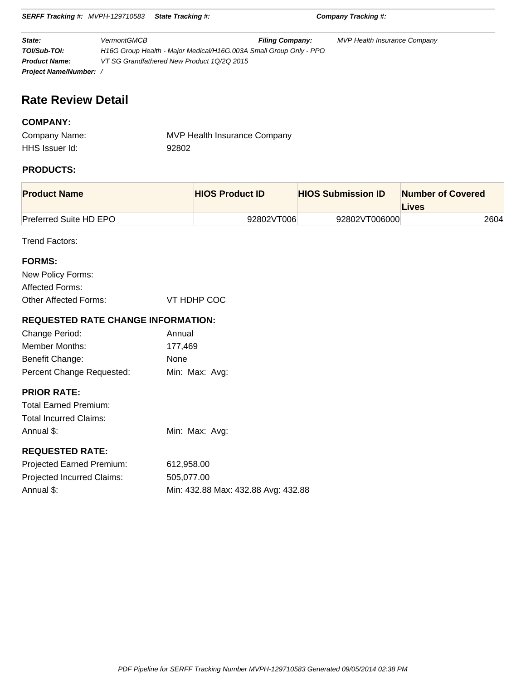**State:** VermontGMCB **Filing Company:** MVP Health Insurance Company **TOI/Sub-TOI:** H16G Group Health - Major Medical/H16G.003A Small Group Only - PPO **Product Name:** VT SG Grandfathered New Product 1Q/2Q 2015 **Project Name/Number:** /

**SERFF Tracking #:** MVPH-129710583 **State Tracking #: Company Tracking #:**

# **Rate Review Detail**

## **COMPANY:**

| Company Name:  | <b>MVP Health Insurance Company</b> |
|----------------|-------------------------------------|
| HHS Issuer Id: | 92802                               |

## **PRODUCTS:**

| <b>Product Name</b>           | <b>HIOS Product ID</b> | <b>HIOS Submission ID</b> | <b>Number of Covered</b><br>Lives |
|-------------------------------|------------------------|---------------------------|-----------------------------------|
| <b>Preferred Suite HD EPO</b> | 92802VT006             | 92802VT006000             | 2604                              |

Trend Factors:

| <b>FORMS:</b>                             |                |
|-------------------------------------------|----------------|
| New Policy Forms:                         |                |
| Affected Forms:                           |                |
| Other Affected Forms:                     | VT HDHP COC    |
|                                           |                |
| <b>REQUESTED RATE CHANGE INFORMATION:</b> |                |
| Change Period:                            | Annual         |
| Member Months:                            | 177,469        |
| Benefit Change:                           | None           |
| Percent Change Requested:                 | Min: Max: Avg: |
|                                           |                |
| <b>PRIOR RATE:</b>                        |                |
| <b>Total Earned Premium:</b>              |                |

| Total Incurred Claims: |                |
|------------------------|----------------|
| Annual \$:             | Min: Max: Avg: |

## **REQUESTED RATE:**

| <b>Projected Earned Premium:</b> | 612.958.00                          |
|----------------------------------|-------------------------------------|
| Projected Incurred Claims:       | 505.077.00                          |
| Annual \$:                       | Min: 432.88 Max: 432.88 Avg: 432.88 |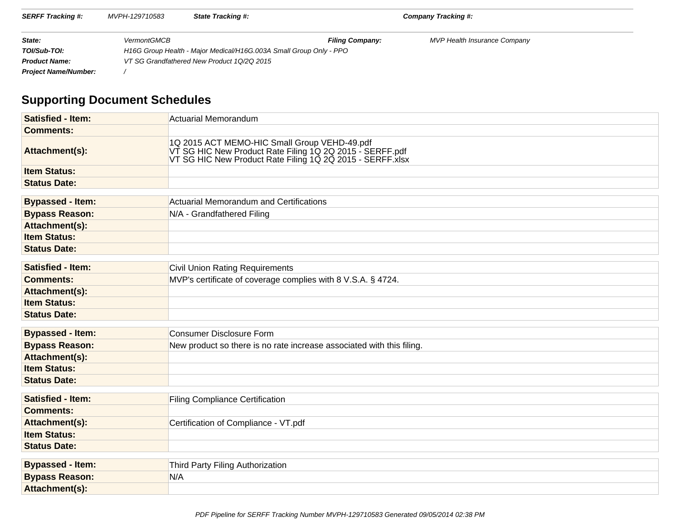| <b>SERFF Tracking #:</b>    | MVPH-129710583     | <b>State Tracking #:</b>                                           |                        | Company Tracking #:                 |  |  |  |
|-----------------------------|--------------------|--------------------------------------------------------------------|------------------------|-------------------------------------|--|--|--|
| State:                      | <b>VermontGMCB</b> |                                                                    | <b>Filing Company:</b> | <b>MVP Health Insurance Company</b> |  |  |  |
| TOI/Sub-TOI:                |                    | H16G Group Health - Major Medical/H16G.003A Small Group Only - PPO |                        |                                     |  |  |  |
| <b>Product Name:</b>        |                    | VT SG Grandfathered New Product 1Q/2Q 2015                         |                        |                                     |  |  |  |
| <b>Project Name/Number:</b> |                    |                                                                    |                        |                                     |  |  |  |

# **Supporting Document Schedules**

| <b>Satisfied - Item:</b> | Actuarial Memorandum                                                                                                                                                  |
|--------------------------|-----------------------------------------------------------------------------------------------------------------------------------------------------------------------|
| <b>Comments:</b>         |                                                                                                                                                                       |
| Attachment(s):           | 1Q 2015 ACT MEMO-HIC Small Group VEHD-49.pdf<br>VT SG HIC New Product Rate Filing 1Q 2Q 2015 - SERFF.pdf<br>VT SG HIC New Product Rate Filing 1Q 2Q 2015 - SERFF.xlsx |
| <b>Item Status:</b>      |                                                                                                                                                                       |
| <b>Status Date:</b>      |                                                                                                                                                                       |
|                          |                                                                                                                                                                       |
| <b>Bypassed - Item:</b>  | Actuarial Memorandum and Certifications                                                                                                                               |
| <b>Bypass Reason:</b>    | N/A - Grandfathered Filing                                                                                                                                            |
| Attachment(s):           |                                                                                                                                                                       |
| <b>Item Status:</b>      |                                                                                                                                                                       |
| <b>Status Date:</b>      |                                                                                                                                                                       |
| <b>Satisfied - Item:</b> | <b>Civil Union Rating Requirements</b>                                                                                                                                |
| <b>Comments:</b>         | MVP's certificate of coverage complies with 8 V.S.A. § 4724.                                                                                                          |
| Attachment(s):           |                                                                                                                                                                       |
| <b>Item Status:</b>      |                                                                                                                                                                       |
| <b>Status Date:</b>      |                                                                                                                                                                       |
|                          |                                                                                                                                                                       |
| <b>Bypassed - Item:</b>  | Consumer Disclosure Form                                                                                                                                              |
| <b>Bypass Reason:</b>    | New product so there is no rate increase associated with this filing.                                                                                                 |
| Attachment(s):           |                                                                                                                                                                       |
| <b>Item Status:</b>      |                                                                                                                                                                       |
| <b>Status Date:</b>      |                                                                                                                                                                       |
|                          |                                                                                                                                                                       |
| <b>Satisfied - Item:</b> | <b>Filing Compliance Certification</b>                                                                                                                                |
| <b>Comments:</b>         |                                                                                                                                                                       |
| Attachment(s):           | Certification of Compliance - VT.pdf                                                                                                                                  |
| <b>Item Status:</b>      |                                                                                                                                                                       |
| <b>Status Date:</b>      |                                                                                                                                                                       |
|                          |                                                                                                                                                                       |
| <b>Bypassed - Item:</b>  | Third Party Filing Authorization                                                                                                                                      |
| <b>Bypass Reason:</b>    | N/A                                                                                                                                                                   |
| Attachment(s):           |                                                                                                                                                                       |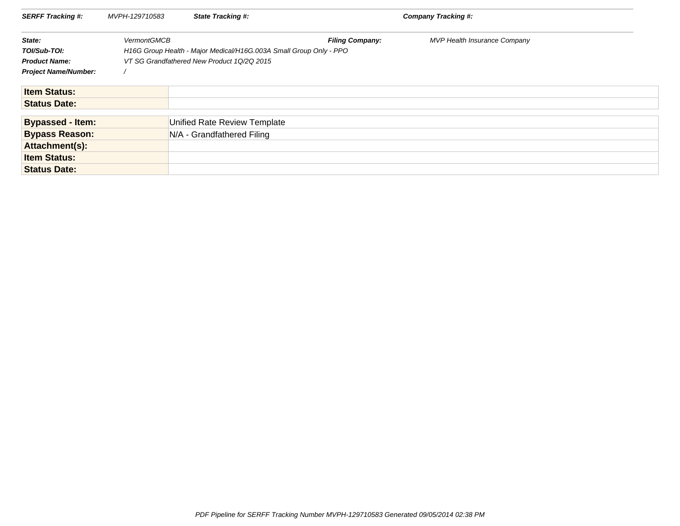| <b>SERFF Tracking #:</b>    | MVPH-129710583     | <b>State Tracking #:</b>                                           |                        | <b>Company Tracking #:</b>   |
|-----------------------------|--------------------|--------------------------------------------------------------------|------------------------|------------------------------|
| State:                      | <b>VermontGMCB</b> |                                                                    | <b>Filing Company:</b> | MVP Health Insurance Company |
| TOI/Sub-TOI:                |                    | H16G Group Health - Major Medical/H16G.003A Small Group Only - PPO |                        |                              |
| <b>Product Name:</b>        |                    | VT SG Grandfathered New Product 1Q/2Q 2015                         |                        |                              |
| <b>Project Name/Number:</b> |                    |                                                                    |                        |                              |
| <b>Item Status:</b>         |                    |                                                                    |                        |                              |
| <b>Status Date:</b>         |                    |                                                                    |                        |                              |
| <b>Bypassed - Item:</b>     |                    | Unified Rate Review Template                                       |                        |                              |
| <b>Bypass Reason:</b>       |                    | N/A - Grandfathered Filing                                         |                        |                              |
| Attachment(s):              |                    |                                                                    |                        |                              |
| <b>Item Status:</b>         |                    |                                                                    |                        |                              |
| <b>Status Date:</b>         |                    |                                                                    |                        |                              |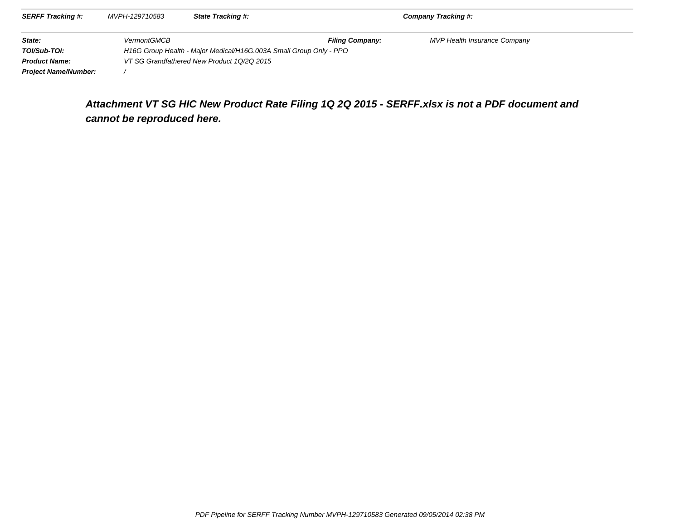| <b>SERFF Tracking #:</b>    | MVPH-129710583     | <b>State Tracking #:</b>                                           |                        | Company Tracking #:                 |  |  |  |  |
|-----------------------------|--------------------|--------------------------------------------------------------------|------------------------|-------------------------------------|--|--|--|--|
| State:                      | <b>VermontGMCB</b> |                                                                    | <b>Filing Company:</b> | <b>MVP Health Insurance Company</b> |  |  |  |  |
| TOI/Sub-TOI:                |                    | H16G Group Health - Major Medical/H16G.003A Small Group Only - PPO |                        |                                     |  |  |  |  |
| <b>Product Name:</b>        |                    | VT SG Grandfathered New Product 10/20 2015                         |                        |                                     |  |  |  |  |
| <b>Project Name/Number:</b> |                    |                                                                    |                        |                                     |  |  |  |  |

# **Attachment VT SG HIC New Product Rate Filing 1Q 2Q 2015 - SERFF.xlsx is not a PDF document andcannot be reproduced here.**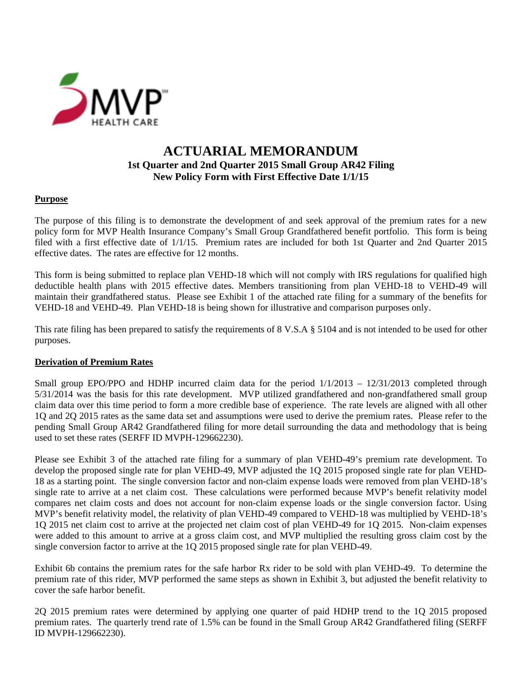

## **ACTUARIAL MEMORANDUM 1st Quarter and 2nd Quarter 2015 Small Group AR42 Filing New Policy Form with First Effective Date 1/1/15**

## **Purpose**

The purpose of this filing is to demonstrate the development of and seek approval of the premium rates for a new policy form for MVP Health Insurance Company's Small Group Grandfathered benefit portfolio. This form is being filed with a first effective date of 1/1/15. Premium rates are included for both 1st Quarter and 2nd Quarter 2015 effective dates. The rates are effective for 12 months.

This form is being submitted to replace plan VEHD-18 which will not comply with IRS regulations for qualified high deductible health plans with 2015 effective dates. Members transitioning from plan VEHD-18 to VEHD-49 will maintain their grandfathered status. Please see Exhibit 1 of the attached rate filing for a summary of the benefits for VEHD-18 and VEHD-49. Plan VEHD-18 is being shown for illustrative and comparison purposes only.

This rate filing has been prepared to satisfy the requirements of 8 V.S.A § 5104 and is not intended to be used for other purposes.

### **Derivation of Premium Rates**

Small group EPO/PPO and HDHP incurred claim data for the period  $1/1/2013 - 12/31/2013$  completed through 5/31/2014 was the basis for this rate development. MVP utilized grandfathered and non-grandfathered small group claim data over this time period to form a more credible base of experience. The rate levels are aligned with all other 1Q and 2Q 2015 rates as the same data set and assumptions were used to derive the premium rates. Please refer to the pending Small Group AR42 Grandfathered filing for more detail surrounding the data and methodology that is being used to set these rates (SERFF ID MVPH-129662230).

Please see Exhibit 3 of the attached rate filing for a summary of plan VEHD-49's premium rate development. To develop the proposed single rate for plan VEHD-49, MVP adjusted the 1Q 2015 proposed single rate for plan VEHD-18 as a starting point. The single conversion factor and non-claim expense loads were removed from plan VEHD-18's single rate to arrive at a net claim cost. These calculations were performed because MVP's benefit relativity model compares net claim costs and does not account for non-claim expense loads or the single conversion factor. Using MVP's benefit relativity model, the relativity of plan VEHD-49 compared to VEHD-18 was multiplied by VEHD-18's 1Q 2015 net claim cost to arrive at the projected net claim cost of plan VEHD-49 for 1Q 2015. Non-claim expenses were added to this amount to arrive at a gross claim cost, and MVP multiplied the resulting gross claim cost by the single conversion factor to arrive at the 1Q 2015 proposed single rate for plan VEHD-49.

Exhibit 6b contains the premium rates for the safe harbor Rx rider to be sold with plan VEHD-49. To determine the premium rate of this rider, MVP performed the same steps as shown in Exhibit 3, but adjusted the benefit relativity to cover the safe harbor benefit.

2Q 2015 premium rates were determined by applying one quarter of paid HDHP trend to the 1Q 2015 proposed premium rates. The quarterly trend rate of 1.5% can be found in the Small Group AR42 Grandfathered filing (SERFF ID MVPH-129662230).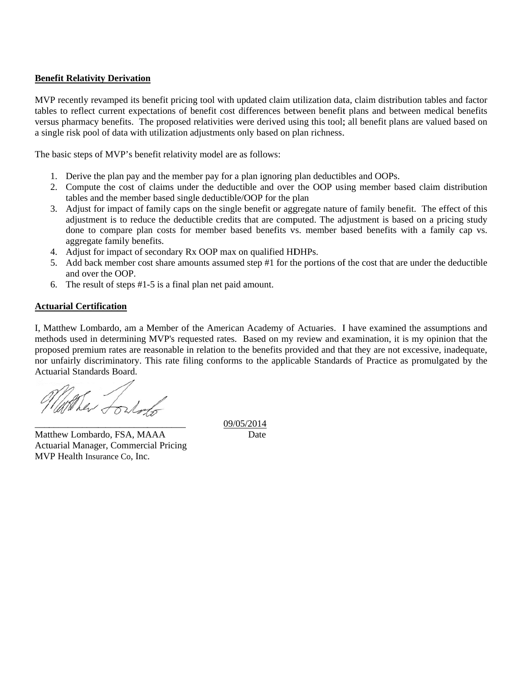### **Benefit Relativity Derivation**

MVP recently revamped its benefit pricing tool with updated claim utilization data, claim distribution tables and factor tables to reflect current expectations of benefit cost differences between benefit plans and between medical benefits versus pharmacy benefits. The proposed relativities were derived using this tool; all benefit plans are valued based on a single risk pool of data with utilization adjustments only based on plan richness.

The basic steps of MVP's benefit relativity model are as follows:

- 1. Derive the plan pay and the member pay for a plan ignoring plan deductibles and OOPs.
- 2. Compute the cost of claims under the deductible and over the OOP using member based claim distribution tables and the member based single deductible/OOP for the plan
- 3. Adjust for impact of family caps on the single benefit or aggregate nature of family benefit. The effect of this adjustment is to reduce the deductible credits that are computed. The adjustment is based on a pricing study done to compare plan costs for member based benefits vs. member based benefits with a family cap vs. aggregate family benefits.
- 4. Adjust for impact of secondary Rx OOP max on qualified HDHPs.
- 5. Add back member cost share amounts assumed step #1 for the portions of the cost that are under the deductible and over the OOP.
- 6. The result of steps  $#1-5$  is a final plan net paid amount.

\_\_\_\_\_\_\_\_\_

### **Act uarial Certif fication**

 $\overline{\phantom{a}}$ 

\_\_\_\_\_\_\_\_\_\_\_\_

I, Matthew Lombardo, am a Member of the American Academy of Actuaries. I have examined the assumptions and methods used in determining MVP's requested rates. Based on my review and examination, it is my opinion that the proposed premium rates are reasonable in relation to the benefits provided and that they are not excessive, inadequate, nor unfairly discriminatory. This rate filing conforms to the applicable Standards of Practice as promulgated by the Actuarial Standards Board.

When Torloss

Matthew Lombardo, FSA, MAAA Actuarial Manager, Commercial Pricing MVP Health Insurance Co, Inc.

\_\_\_\_\_\_\_\_\_\_\_

09/05/2014 Date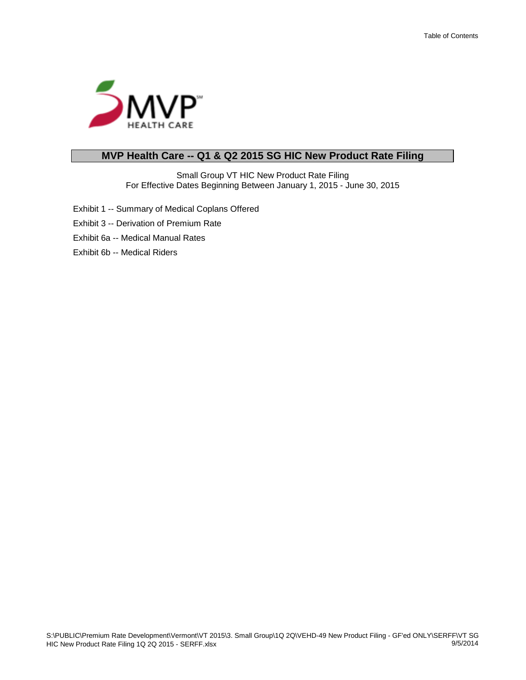

## **MVP Health Care -- Q1 & Q2 2015 SG HIC New Product Rate Filing**

Small Group VT HIC New Product Rate Filing For Effective Dates Beginning Between January 1, 2015 - June 30, 2015

- Exhibit 1 -- Summary of Medical Coplans Offered
- Exhibit 3 -- Derivation of Premium Rate
- Exhibit 6a -- Medical Manual Rates
- Exhibit 6b -- Medical Riders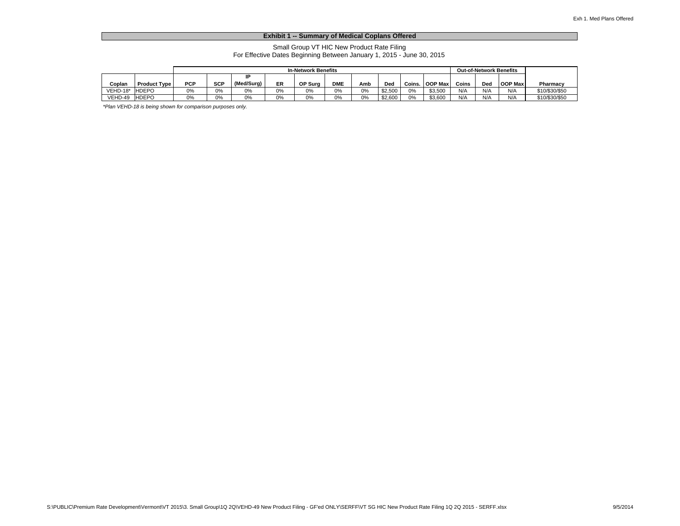#### **Exhibit 1 -- Summary of Medical Coplans Offered**

Small Group VT HIC New Product Rate Filing For Effective Dates Beginning Between January 1, 2015 - June 30, 2015

|            |                     |            | <b>In-Network Benefits</b> |            |    |         |            |     |         | <b>Out-of-Network Benefits</b> |                |          |     |                |                |
|------------|---------------------|------------|----------------------------|------------|----|---------|------------|-----|---------|--------------------------------|----------------|----------|-----|----------------|----------------|
|            |                     |            |                            |            |    |         |            |     |         |                                |                |          |     |                |                |
| Coplan     | <b>Product Type</b> | <b>PCP</b> | <b>SCP</b>                 | (Med/Surg) | ER | OP Sura | <b>DME</b> | Amb | Ded     | Coins.                         | <b>OOP Max</b> | Coins    | Ded | <b>OOP Max</b> | Pharmacy       |
| $VEHD-18*$ | <b>HDEPO</b>        | 0%         | 0%                         | 0%         | 0% | 0%      | 0%         | 0%  | \$2,500 | 0%                             | \$3.500        | N/A      | N/A | N/P            | \$10/\$30/\$50 |
| VEHD-49    | <b>HDEPO</b>        | 0%         | 0%                         | 0%         | 0% | 0%      | 0%         | 0%  | \$2,600 | 0%                             | \$3,600        | $N/\ell$ | N/A | N/P            | \$10/\$30/\$50 |

*\*Plan VEHD-18 is being shown for comparison purposes only.*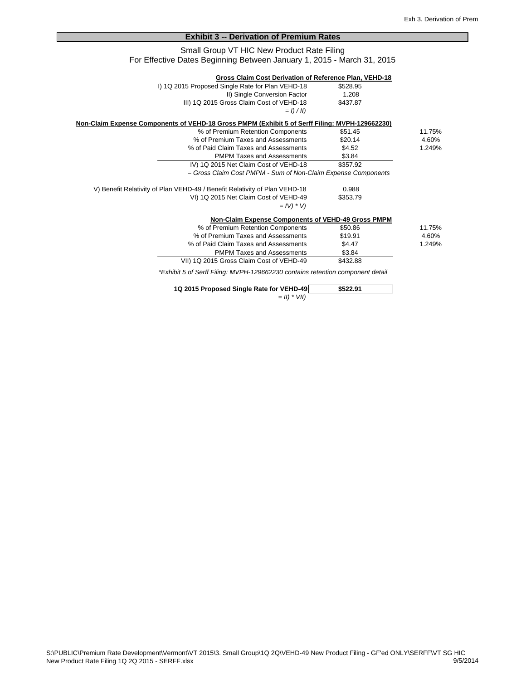#### **Exhibit 3 -- Derivation of Premium Rates**

#### Small Group VT HIC New Product Rate Filing For Effective Dates Beginning Between January 1, 2015 - March 31, 2015

|                                                                                                | Gross Claim Cost Derivation of Reference Plan, VEHD-18                         |          |        |
|------------------------------------------------------------------------------------------------|--------------------------------------------------------------------------------|----------|--------|
|                                                                                                | I) 1Q 2015 Proposed Single Rate for Plan VEHD-18                               | \$528.95 |        |
|                                                                                                | II) Single Conversion Factor                                                   | 1.208    |        |
|                                                                                                | III) 1Q 2015 Gross Claim Cost of VEHD-18                                       | \$437.87 |        |
|                                                                                                | $=$ $\frac{1}{2}$ $\frac{1}{2}$                                                |          |        |
| Non-Claim Expense Components of VEHD-18 Gross PMPM (Exhibit 5 of Serff Filing: MVPH-129662230) |                                                                                |          |        |
|                                                                                                | % of Premium Retention Components                                              | \$51.45  | 11.75% |
|                                                                                                | % of Premium Taxes and Assessments                                             | \$20.14  | 4.60%  |
|                                                                                                | % of Paid Claim Taxes and Assessments                                          | \$4.52   | 1.249% |
|                                                                                                | <b>PMPM Taxes and Assessments</b>                                              | \$3.84   |        |
|                                                                                                | IV) 1Q 2015 Net Claim Cost of VEHD-18                                          | \$357.92 |        |
|                                                                                                | = Gross Claim Cost PMPM - Sum of Non-Claim Expense Components                  |          |        |
|                                                                                                | V) Benefit Relativity of Plan VEHD-49 / Benefit Relativity of Plan VEHD-18     | 0.988    |        |
|                                                                                                | VI) 1Q 2015 Net Claim Cost of VEHD-49                                          | \$353.79 |        |
|                                                                                                | $=$ $IV$ ) $*$ $V$ )                                                           |          |        |
|                                                                                                | Non-Claim Expense Components of VEHD-49 Gross PMPM                             |          |        |
|                                                                                                | % of Premium Retention Components                                              | \$50.86  | 11.75% |
|                                                                                                | % of Premium Taxes and Assessments                                             | \$19.91  | 4.60%  |
|                                                                                                | % of Paid Claim Taxes and Assessments                                          | \$4.47   | 1.249% |
|                                                                                                | <b>PMPM Taxes and Assessments</b>                                              | \$3.84   |        |
|                                                                                                | VII) 1Q 2015 Gross Claim Cost of VEHD-49                                       | \$432.88 |        |
|                                                                                                | *Exhibit 5 of Serff Filing: MVPH-129662230 contains retention component detail |          |        |

| 1Q 2015 Proposed Single Rate for VEHD-49 | \$522.91 |
|------------------------------------------|----------|
| $=$ <i>II</i> ) $*$ <i>VII</i> )         |          |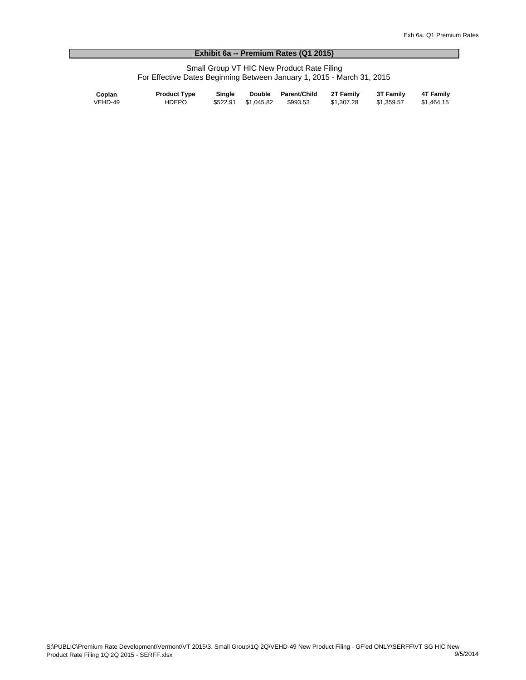#### **Exhibit 6a -- Premium Rates (Q1 2015)**

Small Group VT HIC New Product Rate Filing For Effective Dates Beginning Between January 1, 2015 - March 31, 2015

| Coplan  | <b>Product Type</b> | Single | Double Parent/Child | 2T Family  | <b>3T Family</b> | 4T Family  |
|---------|---------------------|--------|---------------------|------------|------------------|------------|
| VEHD-49 | <b>HDEPO</b>        |        |                     | \$1.307.28 | \$1.359.57       | \$1.464.15 |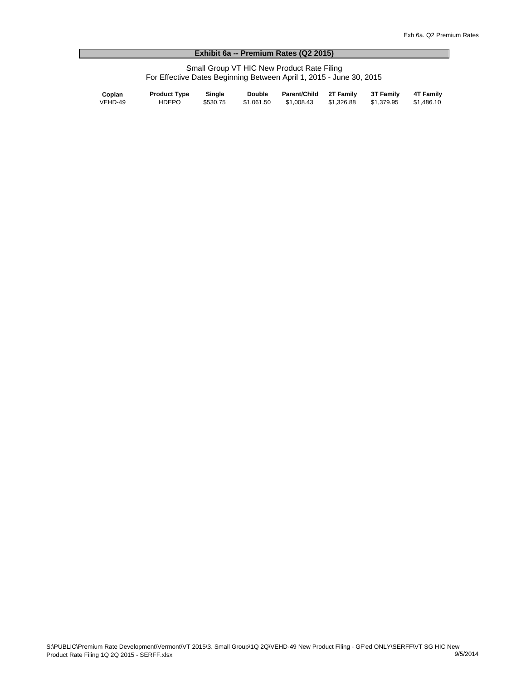#### **Exhibit 6a -- Premium Rates (Q2 2015)**

Small Group VT HIC New Product Rate Filing For Effective Dates Beginning Between April 1, 2015 - June 30, 2015

| Coplan  | <b>Product Type</b> | Single   | <b>Double</b> | Parent/Child 2T Family 3T Family 4T Family |                       |            |
|---------|---------------------|----------|---------------|--------------------------------------------|-----------------------|------------|
| VEHD-49 | HDEPO               | \$530.75 | \$1.061.50    | \$1.008.43                                 | \$1.326.88 \$1.379.95 | \$1.486.10 |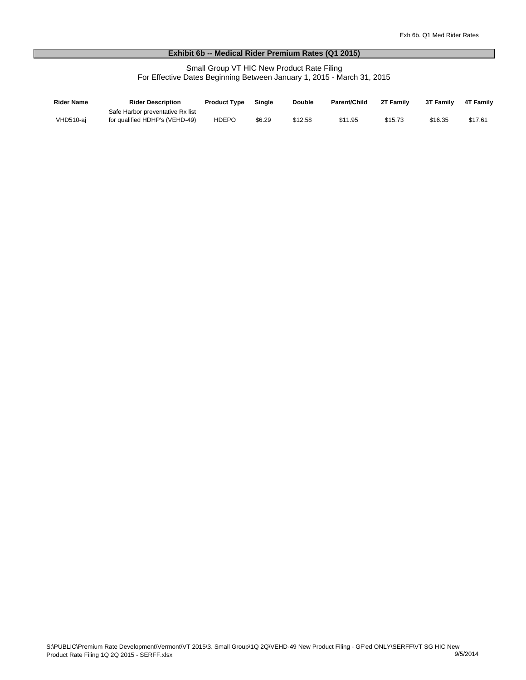#### **Exhibit 6b -- Medical Rider Premium Rates (Q1 2015)**

Small Group VT HIC New Product Rate Filing For Effective Dates Beginning Between January 1, 2015 - March 31, 2015

| <b>Rider Name</b> | <b>Rider Description</b>         | <b>Product Type</b> | <b>Single</b> | <b>Double</b> | <b>Parent/Child</b> | 2T Family | 3T Family | <b>4T Family</b> |
|-------------------|----------------------------------|---------------------|---------------|---------------|---------------------|-----------|-----------|------------------|
|                   | Safe Harbor preventative Rx list |                     |               |               |                     |           |           |                  |
| VHD510-ai         | for qualified HDHP's (VEHD-49)   | <b>HDEPO</b>        | \$6.29        | \$12.58       | \$11.95             | \$15.73   | \$16.35   | \$17.61          |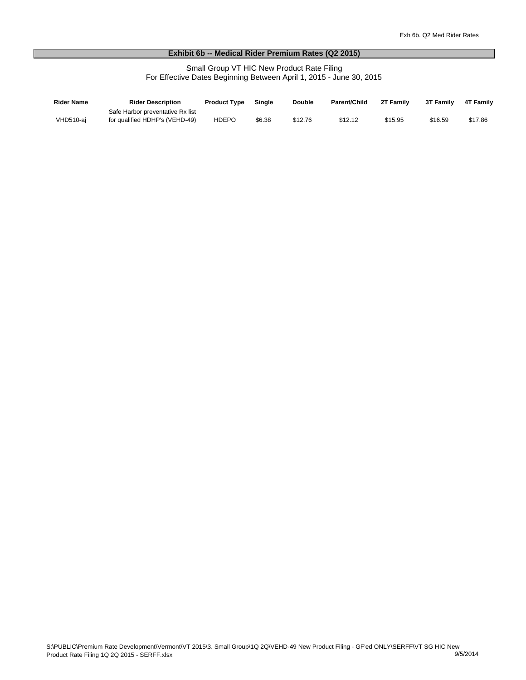#### **Exhibit 6b -- Medical Rider Premium Rates (Q2 2015)**

Small Group VT HIC New Product Rate Filing For Effective Dates Beginning Between April 1, 2015 - June 30, 2015

| Rider Name | <b>Rider Description</b>         | <b>Product Type</b> | <b>Single</b> | <b>Double</b> | Parent/Child | 2T Family | 3T Family | <b>4T Family</b> |
|------------|----------------------------------|---------------------|---------------|---------------|--------------|-----------|-----------|------------------|
|            | Safe Harbor preventative Rx list |                     |               |               |              |           |           |                  |
| VHD510-ai  | for qualified HDHP's (VEHD-49)   | <b>HDEPO</b>        | \$6.38        | \$12.76       | \$12.12      | \$15.95   | \$16.59   | \$17.86          |